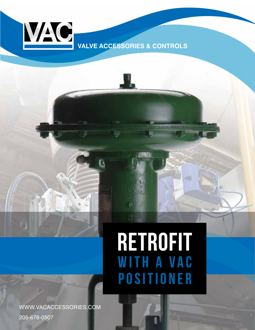

**VALVE ACCESSORIES & CONTROLS**

# RETROFIT WITH A VAC POSITIONER

**NGW** 

WWW.VACACCESSORIES.COM 205-678-0507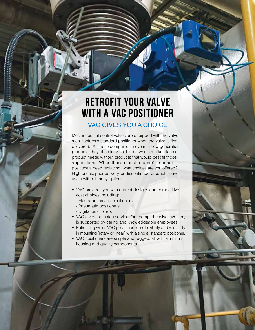# Retrofit your valve with a VAC Positioner VAC GIVES YOU A CHOICE

Most industrial control valves are equipped with the valve manufacturer's standard positioner when the valve is first delivered. As these companies move into new generation products, they often leave behind a whole marketplace of product needs without products that would best fit those applications. When these manufacturers' standard positioners need replacing, what choices are you offered? High prices, poor delivery, or discontinued products leave users without many options.

- VAC provides you with current designs and competitive cost choices including:
	- Electropneumatic positioners
	- Pneumatic positioners
	- Digital positioners
- VAC gives top notch service. Our comprehensive inventory is supported by caring and knowledgeable employees.
- Retrofitting with a VAC positioner offers flexibility and versatility in mounting (rotary or linear) with a single, standard positioner.
- VAC positioners are simple and rugged, all with aluminum housing and quality components.

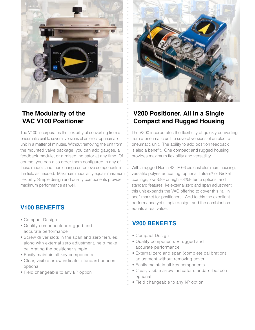

## **The Modularity of the VAC V100 Positioner**

The V100 incorporates the flexibility of converting from a pneumatic unit to several versions of an electropneumatic unit in a matter of minutes. Without removing the unit from the mounted valve package, you can add gauges, a feedback module, or a raised indicator at any time. Of course, you can also order them configured in any of these models and then change or remove components in the field as needed. Maximum modularity equals maximum flexibility. Simple design and quality components provide maximum performance as well.

#### **V100 BENEFITS**

- Compact Design
- Quality components = rugged and accurate performance
- Screw driver slots in the span and zero ferrules, along with external zero adjustment, help make calibrating the positioner simple
- Easily maintain all key components
- Clear, visible arrow indicator standard-beacon optional
- Field changeable to any I/P option



## **V200 Positioner. All In a Single Compact and Rugged Housing**

The V200 incorporates the flexibility of quickly converting from a pneumatic unit to several versions of an electropneumatic unit. The ability to add position feedback is also a benefit. One compact and rugged housing provides maximum flexibility and versatility.

With a rugged Nema 4X, IP 66 die cast aluminum housing, versatile polyester coating, optional Tufram® or Nickel coatings, low -58F or high +325F temp options, and standard features like external zero and span adjustment, this unit expands the VAC offering to cover this "all in one" market for positioners. Add to this the excellent performance yet simple design, and the combination equals a real value.

### **V200 BENEFITS**

- Compact Design
- Quality components = rugged and accurate performance
- External zero and span (complete calibration) adjustment without removing cover
- Easily maintain all key components
- Clear, visible arrow indicator standard-beacon optional
- Field changeable to any I/P option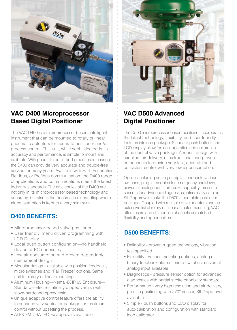

# **VAC D400 Microprocessor Based Digital Positioner**

The VAC D400 is a microprocessor based, intelligent instrument that can be mounted to rotary or linear pneumatic actuators for accurate positioner and/or process control. This unit, while sophisticated in its accuracy and performance, is simple to mount and calibrate. With good filtered air and proper maintenance, the D400 can provide very accurate and trouble-free service for many years. Available with Hart, Foundation Fieldbus, or Profibus communication, the D400 range of applications and communications meets the latest industry standards. The efficiencies of the D400 are not only in its microprocessor based technology and accuracy, but also in the pneumatic air handling where air consumption is kept to a very minimum.

#### **D400 BENEFITS:**

- Microprocessor based valve positioner
- User friendly, menu driven programming with LCD Display
- Local push button configuration—no handheld device or PC necessary
- Low air consumption and proven dependable mechanical design
- Modular design—available with position feedback, micro switches and "Fail Freeze" options. Same unit for rotary or linear mounting.
- Aluminum Housing—Nema 4X IP 65 Enclosure— Standard—Electrostatically dipped varnish with stove-hardened epoxy resin.
- Unique adaptive control feature offers the ability to enhance valve/actuator package for maximum control without upsetting the process.
- ATEX-FM-CSA-IEC-Ex approvals available



# **VAC D500 Advanced Digital Positioner**

The D500 microprocessor based positioner incorporates the latest technology, flexibility, and user-friendly features into one package. Standard push buttons and LCD display allow for local operation and calibration of the control valve package. A robust design with excellent air delivery, uses traditional and proven components to provide very fast, accurate and consistent control with very low air consumption.

Options including analog or digital feedback, various switches, plug-in modules for emergency shutdown, universal analog input, fail freeze capability, pressure sensors for advanced diagnostics, intrinsically safe or SIL2 approvals make the D500 a complete positioner package. Coupled with multiple drive adapters and an extensive list of rotary or linear actuator mounting, VAC offers users and distribution channels unmatched flexibility and opportunities.

#### **D500 BENEFITS:**

- Reliability proven rugged technology, vibration test specified
- Flexibility various mounting options, analog or binary feedback alarms, micro-switches, universal analog input available
- Diagnostics pressure sensor option for advanced diagnostics with partial stroke capability standard
- Performance very high resolution and air delivery, precise positioning with 270° sensor, SIL2 approval available
- Simple push buttons and LCD display for auto-calibration and configuration with standard loop calibrator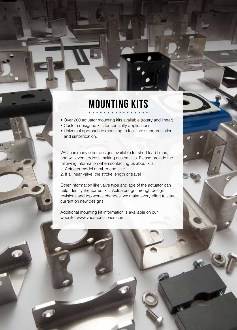# Mounting Kits

- Over 200 actuator mounting kits available (rotary and linear).
- Custom designed kits for specialty applications
- Universal approach to mounting to facilitate standardization and simplification.

VAC has many other designs available for short lead times, and will even address making custom kits. Please provide the following information when contacting us about kits:

- 1. Actuator model number and size
- 2. If a linear valve, the stroke length or travel

Other information like valve type and age of the actuator can help identify the correct kit. Actuators go through design revisions and top works changes; we make every effort to stay current on new designs.

Additional mounting kit information is available on our website: www.vacaccessories.com